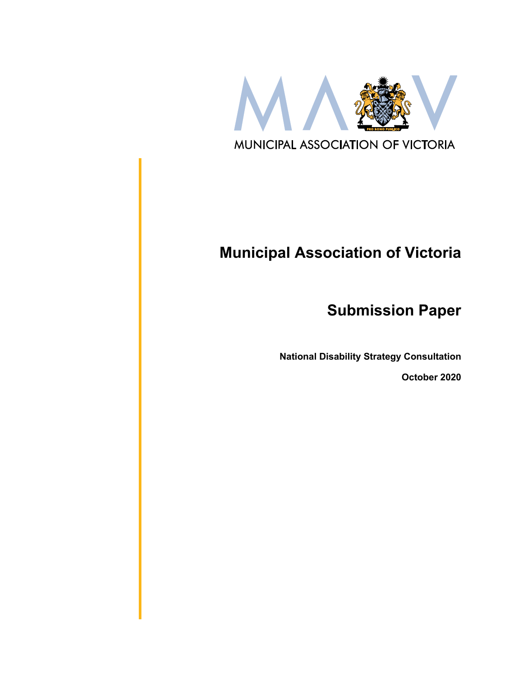

# **Municipal Association of Victoria**

**Submission Paper**

**National Disability Strategy Consultation**

**October 2020**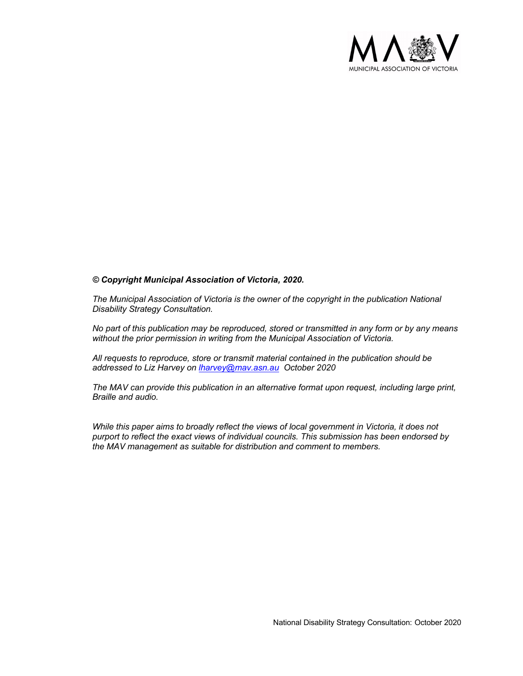

#### *© Copyright Municipal Association of Victoria, 2020.*

*The Municipal Association of Victoria is the owner of the copyright in the publication National Disability Strategy Consultation.* 

*No part of this publication may be reproduced, stored or transmitted in any form or by any means without the prior permission in writing from the Municipal Association of Victoria.* 

*All requests to reproduce, store or transmit material contained in the publication should be addressed to Liz Harvey on lharvey@mav.asn.au October 2020*

*The MAV can provide this publication in an alternative format upon request, including large print, Braille and audio.* 

*While this paper aims to broadly reflect the views of local government in Victoria, it does not purport to reflect the exact views of individual councils. This submission has been endorsed by the MAV management as suitable for distribution and comment to members.*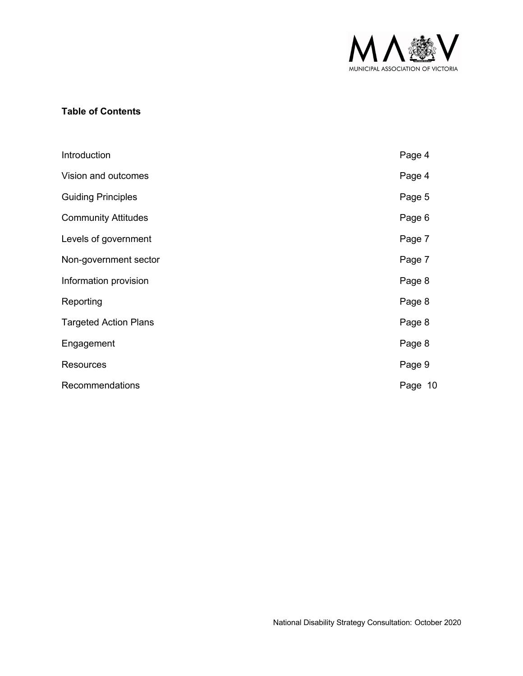

## **Table of Contents**

| Introduction                 | Page 4  |
|------------------------------|---------|
| Vision and outcomes          | Page 4  |
| <b>Guiding Principles</b>    | Page 5  |
| <b>Community Attitudes</b>   | Page 6  |
| Levels of government         | Page 7  |
| Non-government sector        | Page 7  |
| Information provision        | Page 8  |
| Reporting                    | Page 8  |
| <b>Targeted Action Plans</b> | Page 8  |
| Engagement                   | Page 8  |
| <b>Resources</b>             | Page 9  |
| Recommendations              | Page 10 |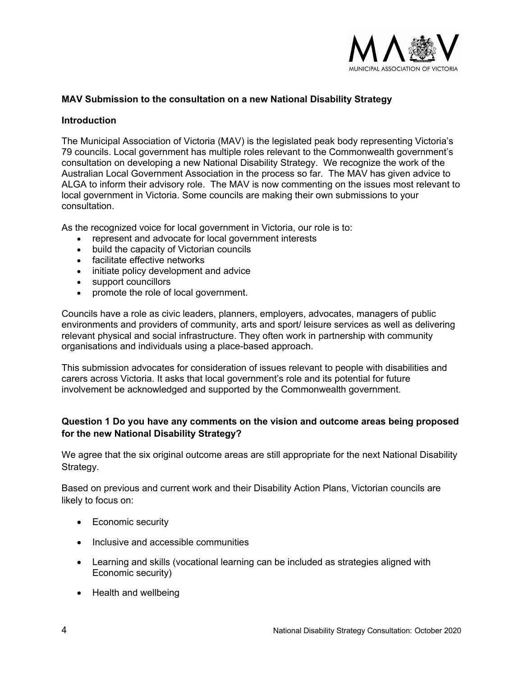

#### **MAV Submission to the consultation on a new National Disability Strategy**

#### **Introduction**

The Municipal Association of Victoria (MAV) is the legislated peak body representing Victoria's 79 councils. Local government has multiple roles relevant to the Commonwealth government's consultation on developing a new National Disability Strategy. We recognize the work of the Australian Local Government Association in the process so far. The MAV has given advice to ALGA to inform their advisory role. The MAV is now commenting on the issues most relevant to local government in Victoria. Some councils are making their own submissions to your consultation.

As the recognized voice for local government in Victoria, our role is to:

- represent and advocate for local government interests
- build the capacity of Victorian councils
- facilitate effective networks
- initiate policy development and advice
- support councillors
- promote the role of local government.

Councils have a role as civic leaders, planners, employers, advocates, managers of public environments and providers of community, arts and sport/ leisure services as well as delivering relevant physical and social infrastructure. They often work in partnership with community organisations and individuals using a place-based approach.

This submission advocates for consideration of issues relevant to people with disabilities and carers across Victoria. It asks that local government's role and its potential for future involvement be acknowledged and supported by the Commonwealth government.

#### **Question 1 Do you have any comments on the vision and outcome areas being proposed for the new National Disability Strategy?**

We agree that the six original outcome areas are still appropriate for the next National Disability Strategy.

Based on previous and current work and their Disability Action Plans, Victorian councils are likely to focus on:

- Economic security
- Inclusive and accessible communities
- Learning and skills (vocational learning can be included as strategies aligned with Economic security)
- Health and wellbeing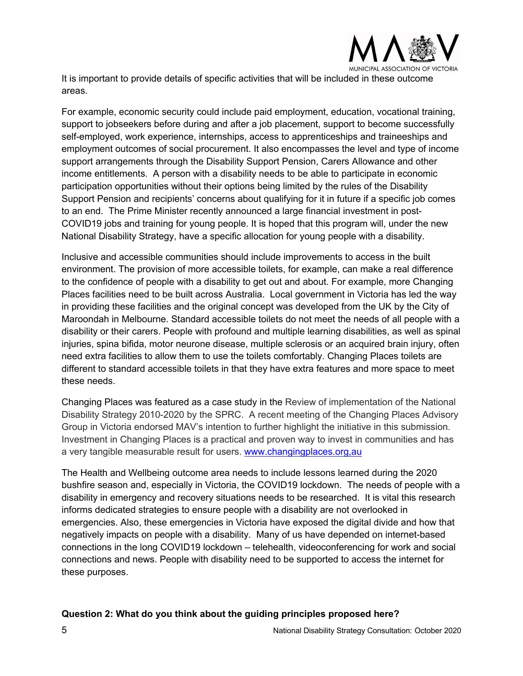

It is important to provide details of specific activities that will be included in these outcome areas.

For example, economic security could include paid employment, education, vocational training, support to jobseekers before during and after a job placement, support to become successfully self-employed, work experience, internships, access to apprenticeships and traineeships and employment outcomes of social procurement. It also encompasses the level and type of income support arrangements through the Disability Support Pension, Carers Allowance and other income entitlements. A person with a disability needs to be able to participate in economic participation opportunities without their options being limited by the rules of the Disability Support Pension and recipients' concerns about qualifying for it in future if a specific job comes to an end. The Prime Minister recently announced a large financial investment in post-COVID19 jobs and training for young people. It is hoped that this program will, under the new National Disability Strategy, have a specific allocation for young people with a disability.

Inclusive and accessible communities should include improvements to access in the built environment. The provision of more accessible toilets, for example, can make a real difference to the confidence of people with a disability to get out and about. For example, more Changing Places facilities need to be built across Australia. Local government in Victoria has led the way in providing these facilities and the original concept was developed from the UK by the City of Maroondah in Melbourne. Standard accessible toilets do not meet the needs of all people with a disability or their carers. People with profound and multiple learning disabilities, as well as spinal injuries, spina bifida, motor neurone disease, multiple sclerosis or an acquired brain injury, often need extra facilities to allow them to use the toilets comfortably. Changing Places toilets are different to standard accessible toilets in that they have extra features and more space to meet these needs.

Changing Places was featured as a case study in the Review of implementation of the National Disability Strategy 2010-2020 by the SPRC. A recent meeting of the Changing Places Advisory Group in Victoria endorsed MAV's intention to further highlight the initiative in this submission. Investment in Changing Places is a practical and proven way to invest in communities and has a very tangible measurable result for users. www.changingplaces.org,au

The Health and Wellbeing outcome area needs to include lessons learned during the 2020 bushfire season and, especially in Victoria, the COVID19 lockdown. The needs of people with a disability in emergency and recovery situations needs to be researched. It is vital this research informs dedicated strategies to ensure people with a disability are not overlooked in emergencies. Also, these emergencies in Victoria have exposed the digital divide and how that negatively impacts on people with a disability. Many of us have depended on internet-based connections in the long COVID19 lockdown – telehealth, videoconferencing for work and social connections and news. People with disability need to be supported to access the internet for these purposes.

#### **Question 2: What do you think about the guiding principles proposed here?**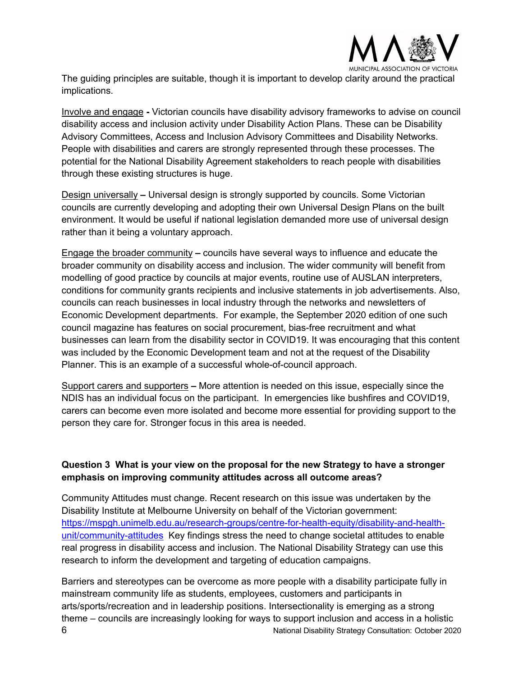

The guiding principles are suitable, though it is important to develop clarity around the practical implications.

Involve and engage **-** Victorian councils have disability advisory frameworks to advise on council disability access and inclusion activity under Disability Action Plans. These can be Disability Advisory Committees, Access and Inclusion Advisory Committees and Disability Networks. People with disabilities and carers are strongly represented through these processes. The potential for the National Disability Agreement stakeholders to reach people with disabilities through these existing structures is huge.

Design universally **–** Universal design is strongly supported by councils. Some Victorian councils are currently developing and adopting their own Universal Design Plans on the built environment. It would be useful if national legislation demanded more use of universal design rather than it being a voluntary approach.

Engage the broader community **–** councils have several ways to influence and educate the broader community on disability access and inclusion. The wider community will benefit from modelling of good practice by councils at major events, routine use of AUSLAN interpreters, conditions for community grants recipients and inclusive statements in job advertisements. Also, councils can reach businesses in local industry through the networks and newsletters of Economic Development departments. For example, the September 2020 edition of one such council magazine has features on social procurement, bias-free recruitment and what businesses can learn from the disability sector in COVID19. It was encouraging that this content was included by the Economic Development team and not at the request of the Disability Planner. This is an example of a successful whole-of-council approach.

Support carers and supporters **–** More attention is needed on this issue, especially since the NDIS has an individual focus on the participant. In emergencies like bushfires and COVID19, carers can become even more isolated and become more essential for providing support to the person they care for. Stronger focus in this area is needed.

### **Question 3 What is your view on the proposal for the new Strategy to have a stronger emphasis on improving community attitudes across all outcome areas?**

Community Attitudes must change. Recent research on this issue was undertaken by the Disability Institute at Melbourne University on behalf of the Victorian government: https://mspgh.unimelb.edu.au/research-groups/centre-for-health-equity/disability-and-healthunit/community-attitudes Key findings stress the need to change societal attitudes to enable real progress in disability access and inclusion. The National Disability Strategy can use this research to inform the development and targeting of education campaigns.

6 National Disability Strategy Consultation: October 2020 Barriers and stereotypes can be overcome as more people with a disability participate fully in mainstream community life as students, employees, customers and participants in arts/sports/recreation and in leadership positions. Intersectionality is emerging as a strong theme – councils are increasingly looking for ways to support inclusion and access in a holistic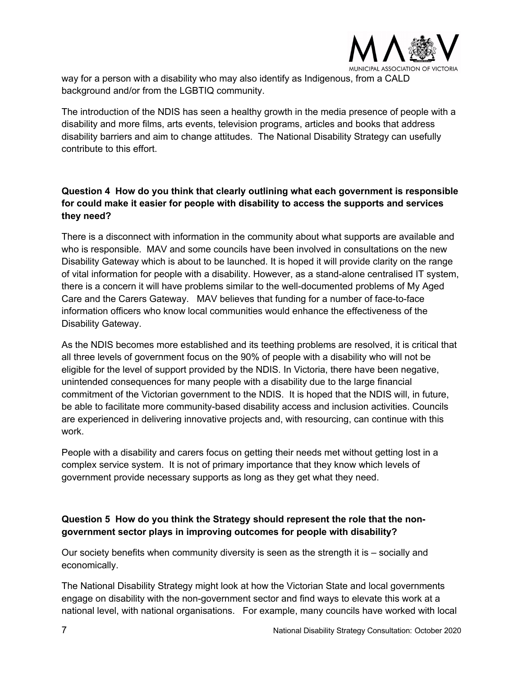

way for a person with a disability who may also identify as Indigenous, from a CALD background and/or from the LGBTIQ community.

The introduction of the NDIS has seen a healthy growth in the media presence of people with a disability and more films, arts events, television programs, articles and books that address disability barriers and aim to change attitudes. The National Disability Strategy can usefully contribute to this effort.

# **Question 4 How do you think that clearly outlining what each government is responsible for could make it easier for people with disability to access the supports and services they need?**

There is a disconnect with information in the community about what supports are available and who is responsible. MAV and some councils have been involved in consultations on the new Disability Gateway which is about to be launched. It is hoped it will provide clarity on the range of vital information for people with a disability. However, as a stand-alone centralised IT system, there is a concern it will have problems similar to the well-documented problems of My Aged Care and the Carers Gateway. MAV believes that funding for a number of face-to-face information officers who know local communities would enhance the effectiveness of the Disability Gateway.

As the NDIS becomes more established and its teething problems are resolved, it is critical that all three levels of government focus on the 90% of people with a disability who will not be eligible for the level of support provided by the NDIS. In Victoria, there have been negative, unintended consequences for many people with a disability due to the large financial commitment of the Victorian government to the NDIS. It is hoped that the NDIS will, in future, be able to facilitate more community-based disability access and inclusion activities. Councils are experienced in delivering innovative projects and, with resourcing, can continue with this work.

People with a disability and carers focus on getting their needs met without getting lost in a complex service system. It is not of primary importance that they know which levels of government provide necessary supports as long as they get what they need.

# **Question 5 How do you think the Strategy should represent the role that the nongovernment sector plays in improving outcomes for people with disability?**

Our society benefits when community diversity is seen as the strength it is – socially and economically.

The National Disability Strategy might look at how the Victorian State and local governments engage on disability with the non-government sector and find ways to elevate this work at a national level, with national organisations. For example, many councils have worked with local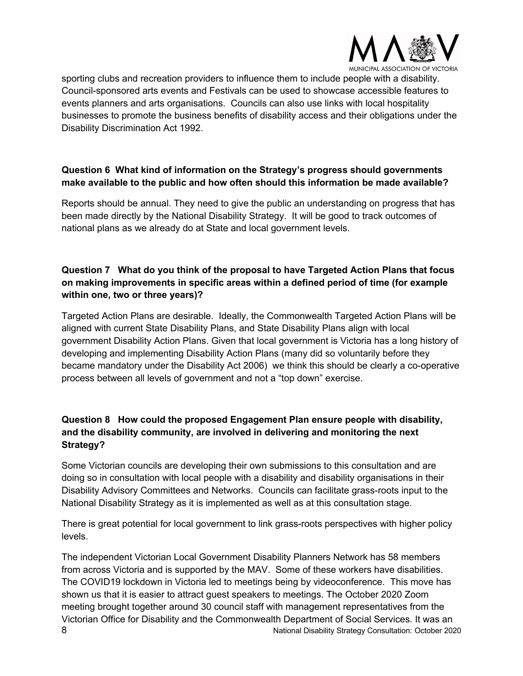![](_page_7_Picture_0.jpeg)

sporting clubs and recreation providers to influence them to include people with a disability. Council-sponsored arts events and Festivals can be used to showcase accessible features to events planners and arts organisations. Councils can also use links with local hospitality businesses to promote the business benefits of disability access and their obligations under the Disability Discrimination Act 1992.

#### **Question 6 What kind of information on the Strategy's progress should governments make available to the public and how often should this information be made available?**

Reports should be annual. They need to give the public an understanding on progress that has been made directly by the National Disability Strategy. It will be good to track outcomes of national plans as we already do at State and local government levels.

# **Question 7 What do you think of the proposal to have Targeted Action Plans that focus on making improvements in specific areas within a defined period of time (for example within one, two or three years)?**

Targeted Action Plans are desirable. Ideally, the Commonwealth Targeted Action Plans will be aligned with current State Disability Plans, and State Disability Plans align with local government Disability Action Plans. Given that local government is Victoria has a long history of developing and implementing Disability Action Plans (many did so voluntarily before they became mandatory under the Disability Act 2006) we think this should be clearly a co-operative process between all levels of government and not a "top down" exercise.

# **Question 8 How could the proposed Engagement Plan ensure people with disability, and the disability community, are involved in delivering and monitoring the next Strategy?**

Some Victorian councils are developing their own submissions to this consultation and are doing so in consultation with local people with a disability and disability organisations in their Disability Advisory Committees and Networks. Councils can facilitate grass-roots input to the National Disability Strategy as it is implemented as well as at this consultation stage.

There is great potential for local government to link grass-roots perspectives with higher policy levels.

8 **8** National Disability Strategy Consultation: October 2020 The independent Victorian Local Government Disability Planners Network has 58 members from across Victoria and is supported by the MAV. Some of these workers have disabilities. The COVID19 lockdown in Victoria led to meetings being by videoconference. This move has shown us that it is easier to attract guest speakers to meetings. The October 2020 Zoom meeting brought together around 30 council staff with management representatives from the Victorian Office for Disability and the Commonwealth Department of Social Services. It was an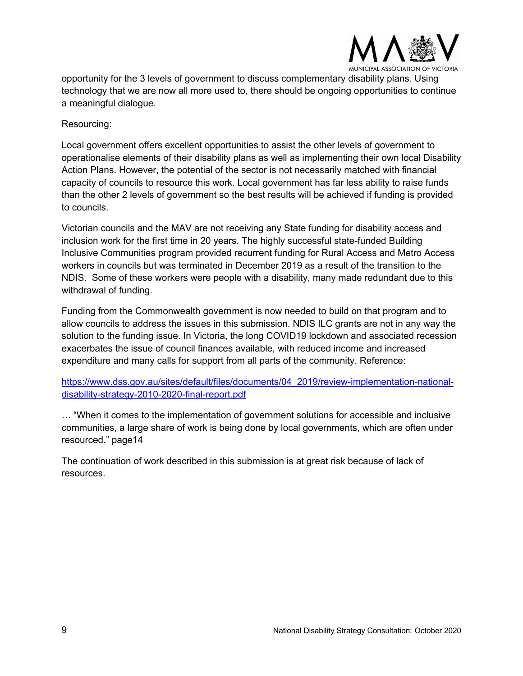![](_page_8_Picture_0.jpeg)

opportunity for the 3 levels of government to discuss complementary disability plans. Using technology that we are now all more used to, there should be ongoing opportunities to continue a meaningful dialogue.

Resourcing:

Local government offers excellent opportunities to assist the other levels of government to operationalise elements of their disability plans as well as implementing their own local Disability Action Plans. However, the potential of the sector is not necessarily matched with financial capacity of councils to resource this work. Local government has far less ability to raise funds than the other 2 levels of government so the best results will be achieved if funding is provided to councils.

Victorian councils and the MAV are not receiving any State funding for disability access and inclusion work for the first time in 20 years. The highly successful state-funded Building Inclusive Communities program provided recurrent funding for Rural Access and Metro Access workers in councils but was terminated in December 2019 as a result of the transition to the NDIS. Some of these workers were people with a disability, many made redundant due to this withdrawal of funding.

Funding from the Commonwealth government is now needed to build on that program and to allow councils to address the issues in this submission. NDIS ILC grants are not in any way the solution to the funding issue. In Victoria, the long COVID19 lockdown and associated recession exacerbates the issue of council finances available, with reduced income and increased expenditure and many calls for support from all parts of the community. Reference:

https://www.dss.gov.au/sites/default/files/documents/04\_2019/review-implementation-nationaldisability-strategy-2010-2020-final-report.pdf

… "When it comes to the implementation of government solutions for accessible and inclusive communities, a large share of work is being done by local governments, which are often under resourced." page14

The continuation of work described in this submission is at great risk because of lack of resources.